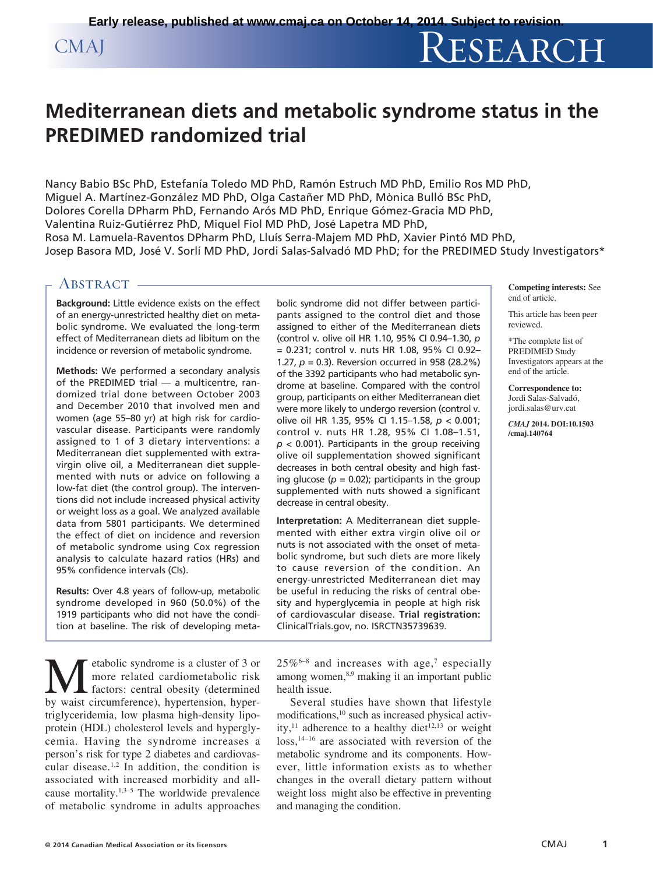# CMAJ RESEARCH

## **Mediterranean diets and metabolic syndrome status in the PREDIMED randomized trial**

Nancy Babio BSc PhD, Estefanía Toledo MD PhD, Ramón Estruch MD PhD, Emilio Ros MD PhD, Miguel A. Martínez-González MD PhD, Olga Castañer MD PhD, Mònica Bulló BSc PhD, Dolores Corella DPharm PhD, Fernando Arós MD PhD, Enrique Gómez-Gracia MD PhD, Valentina Ruiz-Gutiérrez PhD, Miquel Fiol MD PhD, José Lapetra MD PhD, Rosa M. Lamuela-Raventos DPharm PhD, Lluís Serra-Majem MD PhD, Xavier Pintó MD PhD, Josep Basora MD, José V. Sorlí MD PhD, Jordi Salas-Salvadó MD PhD; for the PREDIMED Study Investigators\*

### ABSTRACT -

**Background:** Little evidence exists on the effect of an energy-unrestricted healthy diet on metabolic syndrome. We evaluated the long-term effect of Mediterranean diets ad libitum on the incidence or reversion of metabolic syndrome.

**Methods:** We performed a secondary analysis of the PREDIMED trial — a multicentre, randomized trial done between October 2003 and December 2010 that involved men and women (age 55–80 yr) at high risk for cardiovascular disease. Participants were randomly assigned to 1 of 3 dietary interventions: a Mediterranean diet supplemented with extravirgin olive oil, a Mediterranean diet supplemented with nuts or advice on following a low-fat diet (the control group). The interventions did not include increased physical activity or weight loss as a goal. We analyzed available data from 5801 participants. We determined the effect of diet on incidence and reversion of metabolic syndrome using Cox regression analysis to calculate hazard ratios (HRs) and 95% confidence intervals (CIs).

**Results:** Over 4.8 years of follow-up, metabolic syndrome developed in 960 (50.0%) of the 1919 participants who did not have the condition at baseline. The risk of developing meta-

**M**etabolic syndrome is a cluster of 3 or<br>
more related cardiometabolic risk<br>
factors: central obesity (determined<br>
by weist circumference), by<br>
hypertension, byper more related cardiometabolic risk by waist circumference), hypertension, hypertriglyceridemia, low plasma high-density lipoprotein (HDL) cholesterol levels and hyperglycemia. Having the syndrome increases a person's risk for type 2 diabetes and cardiovascular disease.1,2 In addition, the condition is associated with increased morbidity and allcause mortality.1,3–5 The worldwide prevalence of metabolic syndrome in adults approaches

bolic syndrome did not differ between participants assigned to the control diet and those assigned to either of the Mediterranean diets (control v. olive oil HR 1.10, 95% CI 0.94–1.30, *p* = 0.231; control v. nuts HR 1.08, 95% CI 0.92– 1.27, *p* = 0.3). Reversion occurred in 958 (28.2%) of the 3392 participants who had metabolic syndrome at baseline. Compared with the control group, participants on either Mediterranean diet were more likely to undergo reversion (control v. olive oil HR 1.35, 95% CI 1.15–1.58, *p* < 0.001; control v. nuts HR 1.28, 95% CI 1.08–1.51, *p* < 0.001). Participants in the group receiving olive oil supplementation showed significant decreases in both central obesity and high fasting glucose  $(p = 0.02)$ ; participants in the group supplemented with nuts showed a significant decrease in central obesity.

**Interpretation:** A Mediterranean diet supplemented with either extra virgin olive oil or nuts is not associated with the onset of metabolic syndrome, but such diets are more likely to cause reversion of the condition. An energy-unrestricted Mediterranean diet may be useful in reducing the risks of central obesity and hyperglycemia in people at high risk of cardiovascular disease. **Trial registration:** ClinicalTrials.gov, no. ISRCTN35739639.

 $25\%$ <sup>6-8</sup> and increases with age,<sup>7</sup> especially among women,8,9 making it an important public health issue.

Several studies have shown that lifestyle modifications,<sup>10</sup> such as increased physical activity, $11$  adherence to a healthy diet $12,13$  or weight loss,14–16 are associated with reversion of the metabolic syndrome and its components. However, little information exists as to whether changes in the overall dietary pattern without weight loss might also be effective in preventing and managing the condition.

**Competing interests:** See end of article.

This article has been peer reviewed.

\*The complete list of PREDIMED Study Investigators appears at the end of the article.

**Correspondence to:** Jordi Salas-Salvadó, jordi.salas@urv.cat

*CMAJ* **2014. DOI:10.1503 /cmaj.140764**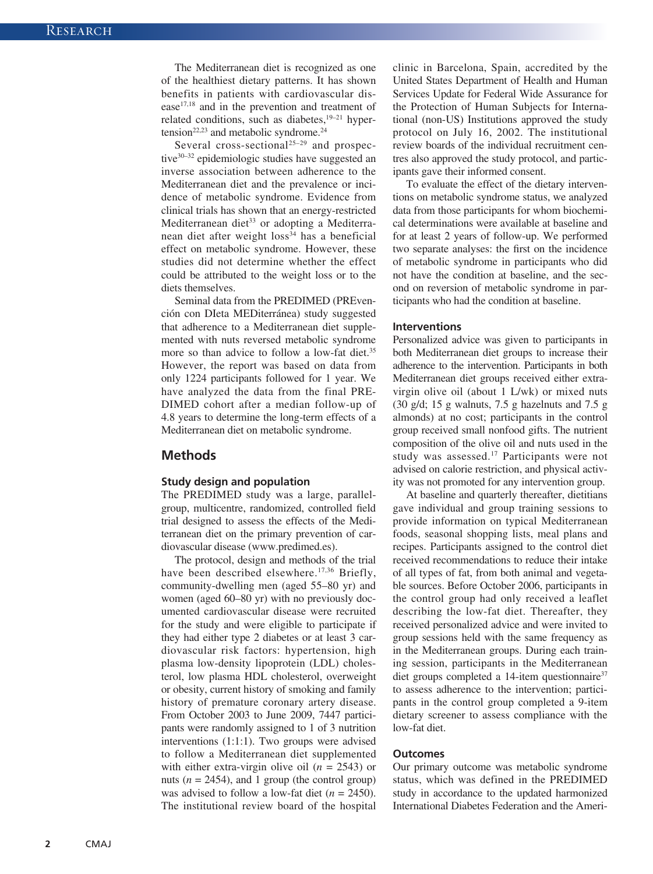The Mediterranean diet is recognized as one of the healthiest dietary patterns. It has shown benefits in patients with cardiovascular disease17,18 and in the prevention and treatment of related conditions, such as diabetes, $19-21$  hypertension<sup>22,23</sup> and metabolic syndrome.<sup>24</sup>

Several cross-sectional<sup>25-29</sup> and prospective<sup>30–32</sup> epidemiologic studies have suggested an inverse association between adherence to the Mediterranean diet and the prevalence or incidence of metabolic syndrome. Evidence from clinical trials has shown that an energy-restricted Mediterranean diet<sup>33</sup> or adopting a Mediterranean diet after weight loss<sup>34</sup> has a beneficial effect on metabolic syndrome. However, these studies did not determine whether the effect could be attributed to the weight loss or to the diets themselves.

Seminal data from the PREDIMED (PREvención con DIeta MEDiterránea) study suggested that adherence to a Mediterranean diet supplemented with nuts reversed metabolic syndrome more so than advice to follow a low-fat diet.<sup>35</sup> However, the report was based on data from only 1224 participants followed for 1 year. We have analyzed the data from the final PRE-DIMED cohort after a median follow-up of 4.8 years to determine the long-term effects of a Mediterranean diet on metabolic syndrome.

#### **Methods**

#### **Study design and population**

The PREDIMED study was a large, parallelgroup, multicentre, randomized, controlled field trial designed to assess the effects of the Mediterranean diet on the primary prevention of cardiovascular disease (www.predimed.es).

The protocol, design and methods of the trial have been described elsewhere.<sup>17,36</sup> Briefly, community-dwelling men (aged 55–80 yr) and women (aged 60–80 yr) with no previously documented cardiovascular disease were recruited for the study and were eligible to participate if they had either type 2 diabetes or at least 3 cardiovascular risk factors: hypertension, high plasma low-density lipoprotein (LDL) cholesterol, low plasma HDL cholesterol, overweight or obesity, current history of smoking and family history of premature coronary artery disease. From October 2003 to June 2009, 7447 participants were randomly assigned to 1 of 3 nutrition interventions (1:1:1). Two groups were advised to follow a Mediterranean diet supplemented with either extra-virgin olive oil (*n* = 2543) or nuts ( $n = 2454$ ), and 1 group (the control group) was advised to follow a low-fat diet (*n* = 2450). The institutional review board of the hospital

clinic in Barcelona, Spain, accredited by the United States Department of Health and Human Services Update for Federal Wide Assurance for the Protection of Human Subjects for International (non-US) Institutions approved the study protocol on July 16, 2002. The institutional review boards of the individual recruitment centres also approved the study protocol, and participants gave their informed consent.

To evaluate the effect of the dietary interventions on metabolic syndrome status, we analyzed data from those participants for whom biochemical determinations were available at baseline and for at least 2 years of follow-up. We performed two separate analyses: the first on the incidence of metabolic syndrome in participants who did not have the condition at baseline, and the second on reversion of metabolic syndrome in participants who had the condition at baseline.

#### **Interventions**

Personalized advice was given to participants in both Mediterranean diet groups to increase their adherence to the intervention. Participants in both Mediterranean diet groups received either extravirgin olive oil (about 1 L/wk) or mixed nuts (30 g/d; 15 g walnuts, 7.5 g hazelnuts and 7.5 g almonds) at no cost; participants in the control group received small nonfood gifts. The nutrient composition of the olive oil and nuts used in the study was assessed.17 Participants were not advised on calorie restriction, and physical activity was not promoted for any intervention group.

At baseline and quarterly thereafter, dietitians gave individual and group training sessions to provide information on typical Mediterranean foods, seasonal shopping lists, meal plans and recipes. Participants assigned to the control diet received recommendations to reduce their intake of all types of fat, from both animal and vegetable sources. Before October 2006, participants in the control group had only received a leaflet describing the low-fat diet. Thereafter, they received personalized advice and were invited to group sessions held with the same frequency as in the Mediterranean groups. During each training session, participants in the Mediterranean diet groups completed a 14-item questionnaire<sup>37</sup> to assess adherence to the intervention; participants in the control group completed a 9-item dietary screener to assess compliance with the low-fat diet.

#### **Outcomes**

Our primary outcome was metabolic syndrome status, which was defined in the PREDIMED study in accordance to the updated harmonized International Diabetes Federation and the Ameri-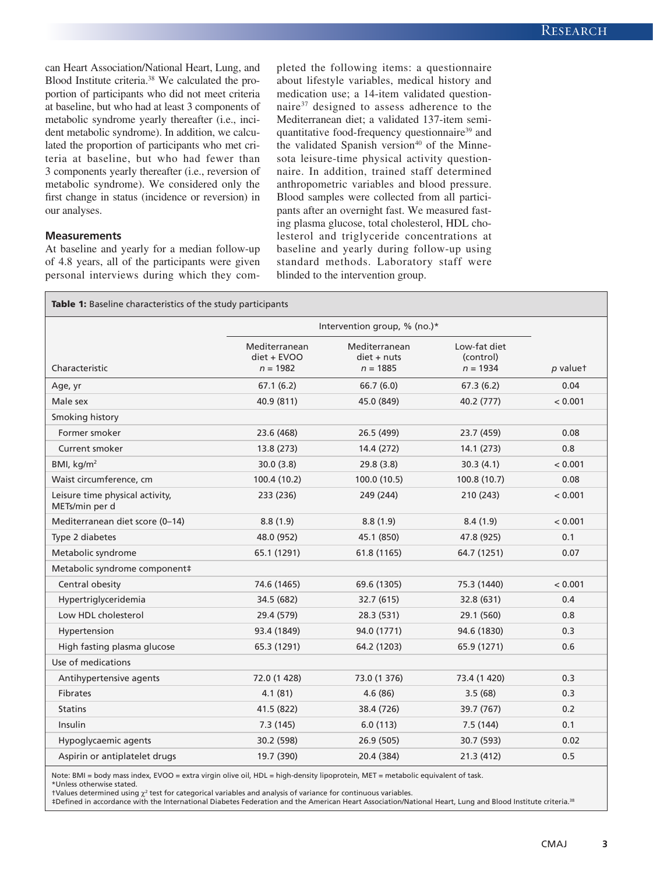can Heart Association/National Heart, Lung, and Blood Institute criteria.<sup>38</sup> We calculated the proportion of participants who did not meet criteria at baseline, but who had at least 3 components of metabolic syndrome yearly thereafter (i.e., incident metabolic syndrome). In addition, we calculated the proportion of participants who met criteria at baseline, but who had fewer than 3 components yearly thereafter (i.e., reversion of metabolic syndrome). We considered only the first change in status (incidence or reversion) in our analyses.

#### **Measurements**

At baseline and yearly for a median follow-up of 4.8 years, all of the participants were given personal interviews during which they completed the following items: a questionnaire about lifestyle variables, medical history and medication use; a 14-item validated questionnaire37 designed to assess adherence to the Mediterranean diet; a validated 137-item semiquantitative food-frequency questionnaire<sup>39</sup> and the validated Spanish version<sup>40</sup> of the Minnesota leisure-time physical activity questionnaire. In addition, trained staff determined anthropometric variables and blood pressure. Blood samples were collected from all participants after an overnight fast. We measured fasting plasma glucose, total cholesterol, HDL cholesterol and triglyceride concentrations at baseline and yearly during follow-up using standard methods. Laboratory staff were blinded to the intervention group.

| <b>Table 1:</b> Baseline characteristics of the study participants |  |
|--------------------------------------------------------------------|--|
|--------------------------------------------------------------------|--|

| Intervention group, % (no.)*               |                                                            |                                         |          |
|--------------------------------------------|------------------------------------------------------------|-----------------------------------------|----------|
| Mediterranean<br>diet + EVOO<br>$n = 1982$ | Mediterranean<br>$\text{dist} + \text{nuts}$<br>$n = 1885$ | Low-fat diet<br>(control)<br>$n = 1934$ | p valuet |
| 67.1(6.2)                                  | 66.7(6.0)                                                  | 67.3(6.2)                               | 0.04     |
| 40.9 (811)                                 | 45.0 (849)                                                 | 40.2 (777)                              | < 0.001  |
|                                            |                                                            |                                         |          |
| 23.6 (468)                                 | 26.5 (499)                                                 | 23.7 (459)                              | 0.08     |
| 13.8 (273)                                 | 14.4 (272)                                                 | 14.1(273)                               | 0.8      |
| 30.0(3.8)                                  | 29.8(3.8)                                                  | 30.3(4.1)                               | < 0.001  |
| 100.4 (10.2)                               | 100.0(10.5)                                                | 100.8 (10.7)                            | 0.08     |
| 233 (236)                                  | 249 (244)                                                  | 210 (243)                               | < 0.001  |
| 8.8(1.9)                                   | 8.8(1.9)                                                   | 8.4(1.9)                                | < 0.001  |
| 48.0 (952)                                 | 45.1 (850)                                                 | 47.8 (925)                              | 0.1      |
| 65.1 (1291)                                | 61.8 (1165)                                                | 64.7 (1251)                             | 0.07     |
|                                            |                                                            |                                         |          |
| 74.6 (1465)                                | 69.6 (1305)                                                | 75.3 (1440)                             | < 0.001  |
| 34.5 (682)                                 | 32.7 (615)                                                 | 32.8 (631)                              | 0.4      |
| 29.4 (579)                                 | 28.3 (531)                                                 | 29.1 (560)                              | 0.8      |
| 93.4 (1849)                                | 94.0 (1771)                                                | 94.6 (1830)                             | 0.3      |
| 65.3 (1291)                                | 64.2 (1203)                                                | 65.9 (1271)                             | 0.6      |
|                                            |                                                            |                                         |          |
| 72.0 (1 428)                               | 73.0 (1 376)                                               | 73.4 (1 420)                            | 0.3      |
| 4.1(81)                                    | 4.6(86)                                                    | 3.5(68)                                 | 0.3      |
| 41.5 (822)                                 | 38.4 (726)                                                 | 39.7 (767)                              | 0.2      |
| 7.3(145)                                   | 6.0(113)                                                   | 7.5(144)                                | 0.1      |
| 30.2 (598)                                 | 26.9 (505)                                                 | 30.7 (593)                              | 0.02     |
| 19.7 (390)                                 | 20.4 (384)                                                 | 21.3(412)                               | 0.5      |
|                                            |                                                            |                                         |          |

Note: BMI = body mass index, EVOO = extra virgin olive oil, HDL = high-density lipoprotein, MET = metabolic equivalent of task.

\*Unless otherwise stated.

†Values determined using  $\chi^2$  test for categorical variables and analysis of variance for continuous variables.

‡Defined in accordance with the International Diabetes Federation and the American Heart Association/National Heart, Lung and Blood Institute criteria.38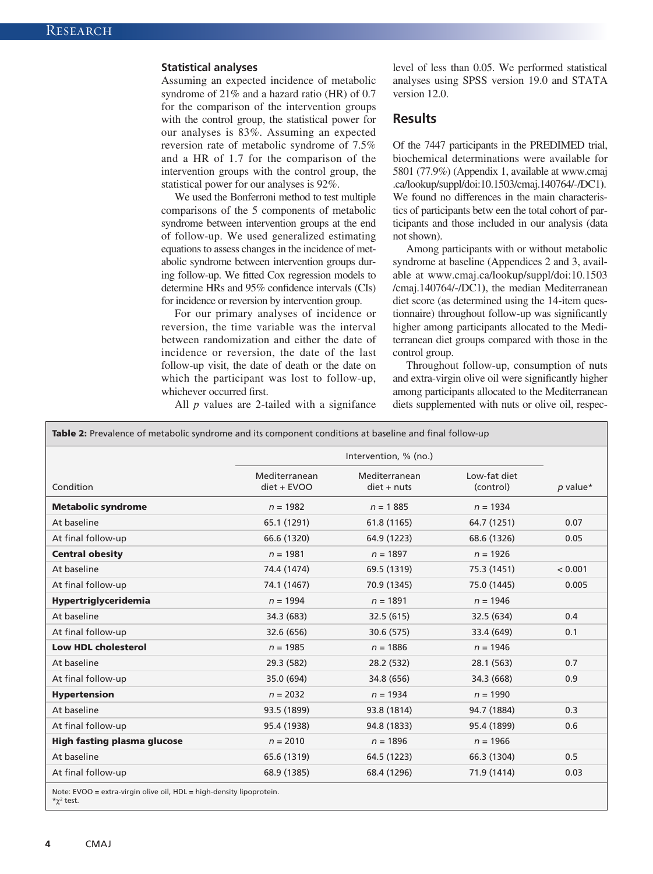#### **Statistical analyses**

Assuming an expected incidence of metabolic syndrome of 21% and a hazard ratio (HR) of 0.7 for the comparison of the intervention groups with the control group, the statistical power for our analyses is 83%. Assuming an expected reversion rate of metabolic syndrome of 7.5% and a HR of 1.7 for the comparison of the intervention groups with the control group, the statistical power for our analyses is 92%.

We used the Bonferroni method to test multiple comparisons of the 5 components of metabolic syndrome between intervention groups at the end of follow-up. We used generalized estimating equations to assess changes in the incidence of metabolic syndrome between intervention groups during follow-up. We fitted Cox regression models to determine HRs and 95% confidence intervals (CIs) for incidence or reversion by intervention group.

For our primary analyses of incidence or reversion, the time variable was the interval between randomization and either the date of incidence or reversion, the date of the last follow-up visit, the date of death or the date on which the participant was lost to follow-up, whichever occurred first.

All *p* values are 2-tailed with a signifance

level of less than 0.05. We performed statistical analyses using SPSS version 19.0 and STATA version 12.0.

#### **Results**

Of the 7447 participants in the PREDIMED trial, biochemical determinations were available for [5801 \(77.9%\) \(Appendix 1, available at www.cmaj](http://www.cmaj.ca/lookup/suppl/doi:10.1503/cmaj.140764/-/DC1) .ca/lookup/suppl/doi:10.1503/cmaj.140764/-/DC1**)**. We found no differences in the main characteristics of participants betw een the total cohort of participants and those included in our analysis (data not shown).

Among participants with or without metabolic syndrome at baseline (Appendices 2 and 3, avail[able at www.cmaj.ca/lookup/suppl/doi:10.1503](http://www.cmaj.ca/lookup/suppl/doi:10.1503/cmaj.140764/-/DC1) /cmaj.140764/-/DC1**)**, the median Mediterranean diet score (as determined using the 14-item questionnaire) throughout follow-up was significantly higher among participants allocated to the Mediterranean diet groups compared with those in the control group.

Throughout follow-up, consumption of nuts and extra-virgin olive oil were significantly higher among participants allocated to the Mediterranean diets supplemented with nuts or olive oil, respec-

| Table 2: Prevalence of metabolic syndrome and its component conditions at baseline and final follow-up |                              |                                       |                           |          |  |
|--------------------------------------------------------------------------------------------------------|------------------------------|---------------------------------------|---------------------------|----------|--|
|                                                                                                        | Intervention, % (no.)        |                                       |                           |          |  |
| Condition                                                                                              | Mediterranean<br>diet + EVOO | Mediterranean<br>$\text{dist}$ + nuts | Low-fat diet<br>(control) | p value* |  |
| <b>Metabolic syndrome</b>                                                                              | $n = 1982$                   | $n = 1885$                            | $n = 1934$                |          |  |
| At baseline                                                                                            | 65.1 (1291)                  | 61.8 (1165)                           | 64.7 (1251)               | 0.07     |  |
| At final follow-up                                                                                     | 66.6 (1320)                  | 64.9 (1223)                           | 68.6 (1326)               | 0.05     |  |
| <b>Central obesity</b>                                                                                 | $n = 1981$                   | $n = 1897$                            | $n = 1926$                |          |  |
| At baseline                                                                                            | 74.4 (1474)                  | 69.5 (1319)                           | 75.3 (1451)               | < 0.001  |  |
| At final follow-up                                                                                     | 74.1 (1467)                  | 70.9 (1345)                           | 75.0 (1445)               | 0.005    |  |
| Hypertriglyceridemia                                                                                   | $n = 1994$                   | $n = 1891$                            | $n = 1946$                |          |  |
| At baseline                                                                                            | 34.3 (683)                   | 32.5 (615)                            | 32.5 (634)                | 0.4      |  |
| At final follow-up                                                                                     | 32.6 (656)                   | 30.6 (575)                            | 33.4 (649)                | 0.1      |  |
| <b>Low HDL cholesterol</b>                                                                             | $n = 1985$                   | $n = 1886$                            | $n = 1946$                |          |  |
| At baseline                                                                                            | 29.3 (582)                   | 28.2 (532)                            | 28.1 (563)                | 0.7      |  |
| At final follow-up                                                                                     | 35.0 (694)                   | 34.8 (656)<br>34.3 (668)              |                           | 0.9      |  |
| <b>Hypertension</b>                                                                                    | $n = 2032$                   | $n = 1934$                            | $n = 1990$                |          |  |
| At baseline                                                                                            | 93.5 (1899)                  | 93.8 (1814)                           | 94.7 (1884)               | 0.3      |  |
| At final follow-up                                                                                     | 95.4 (1938)                  | 94.8 (1833)                           | 95.4 (1899)               | 0.6      |  |
| <b>High fasting plasma glucose</b>                                                                     | $n = 2010$                   | $n = 1896$                            | $n = 1966$                |          |  |
| At baseline                                                                                            | 65.6 (1319)                  | 64.5 (1223)                           | 66.3 (1304)               | 0.5      |  |
| At final follow-up                                                                                     | 68.9 (1385)                  | 68.4 (1296)                           | 71.9 (1414)               | 0.03     |  |
| Note: EVOO = extra-virgin olive oil, HDL = high-density lipoprotein.<br>$\chi^2$ test.                 |                              |                                       |                           |          |  |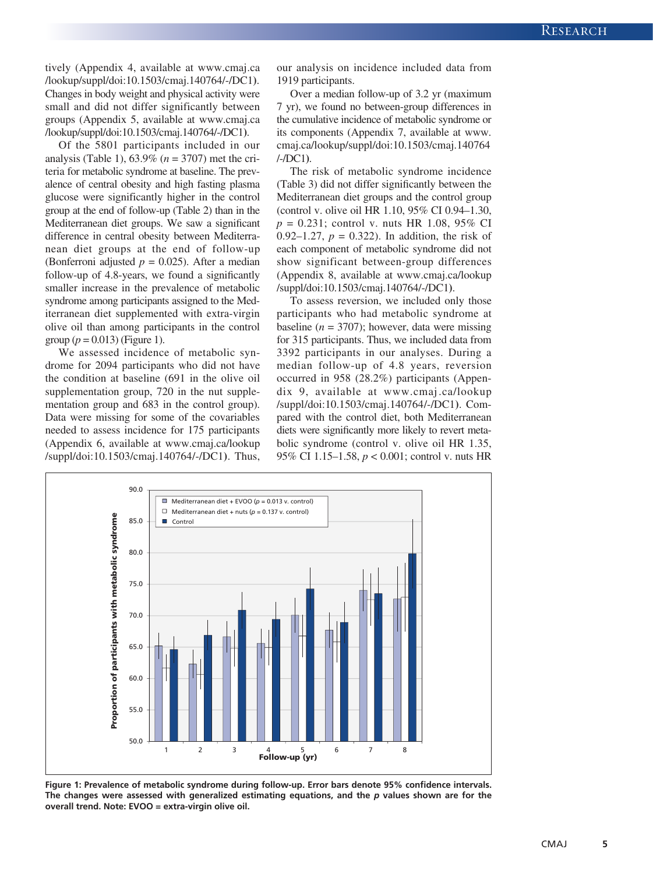[tively \(Appendix 4, available at www.cmaj.ca](http://www.cmaj.ca/lookup/suppl/doi:10.1503/cmaj.140764/-/DC1) /lookup/suppl/doi:10.1503/cmaj.140764/-/DC1**)**. Changes in body weight and physical activity were small and did not differ significantly between [groups \(Appendix 5, available at www.cmaj.ca](http://www.cmaj.ca/lookup/suppl/doi:10.1503/cmaj.140764/-/DC1) /lookup/suppl/doi:10.1503/cmaj.140764/-/DC1**)**.

Of the 5801 participants included in our analysis (Table 1), 63.9% (*n* = 3707) met the criteria for metabolic syndrome at baseline. The prevalence of central obesity and high fasting plasma glucose were significantly higher in the control group at the end of follow-up (Table 2) than in the Mediterranean diet groups. We saw a significant difference in central obesity between Mediterranean diet groups at the end of follow-up (Bonferroni adjusted  $p = 0.025$ ). After a median follow-up of 4.8-years, we found a significantly smaller increase in the prevalence of metabolic syndrome among participants assigned to the Mediterranean diet supplemented with extra-virgin olive oil than among participants in the control group  $(p = 0.013)$  (Figure 1).

We assessed incidence of metabolic syndrome for 2094 participants who did not have the condition at baseline (691 in the olive oil supplementation group, 720 in the nut supplementation group and 683 in the control group). Data were missing for some of the covariables needed to assess incidence for 175 participants [\(Appendix 6, available at www.cmaj.ca/lookup](http://www.cmaj.ca/lookup/suppl/doi:10.1503/cmaj.140764/-/DC1) /suppl/doi:10.1503/cmaj.140764/-/DC1**)**. Thus, our analysis on incidence included data from 1919 participants.

Over a median follow-up of 3.2 yr (maximum 7 yr), we found no between-group differences in the cumulative incidence of metabolic syndrome or [its components \(Appendix 7, available at www.](http://www.cmaj.ca/lookup/suppl/doi:10.1503/cmaj.140764/-/DC1) cmaj.ca/lookup/suppl/doi:10.1503/cmaj.140764 /-/DC1**)**.

The risk of metabolic syndrome incidence (Table 3) did not differ significantly between the Mediterranean diet groups and the control group (control v. olive oil HR 1.10, 95% CI 0.94–1.30,  $p = 0.231$ ; control v. nuts HR 1.08, 95% CI 0.92–1.27,  $p = 0.322$ ). In addition, the risk of each component of metabolic syndrome did not show significant between-group differences [\(Appendix 8, available at www.cmaj.ca/lookup](http://www.cmaj.ca/lookup/suppl/doi:10.1503/cmaj.140764/-/DC1) /suppl/doi:10.1503/cmaj.140764/-/DC1**)**.

To assess reversion, we included only those participants who had metabolic syndrome at baseline ( $n = 3707$ ); however, data were missing for 315 participants. Thus, we included data from 3392 participants in our analyses. During a median follow-up of 4.8 years, reversion occurred in 958 (28.2%) participants (Appen[dix 9, available at www.cmaj.ca/lookup](http://www.cmaj.ca/lookup/suppl/doi:10.1503/cmaj.140764/-/DC1) /suppl/doi:10.1503/cmaj.140764/-/DC1**)**. Compared with the control diet, both Mediterranean diets were significantly more likely to revert metabolic syndrome (control v. olive oil HR 1.35, 95% CI 1.15–1.58, *p* < 0.001; control v. nuts HR



**Figure 1: Prevalence of metabolic syndrome during follow-up. Error bars denote 95% confidence intervals. The changes were assessed with generalized estimating equations, and the** *p* **values shown are for the overall trend. Note: EVOO = extra-virgin olive oil.**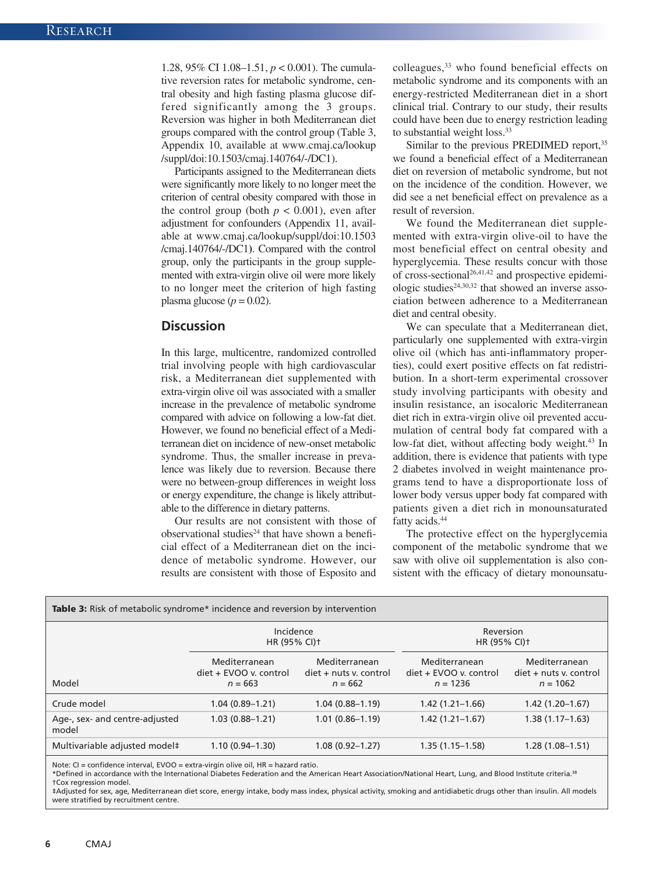1.28, 95% CI 1.08–1.51, *p* < 0.001). The cumulative reversion rates for metabolic syndrome, central obesity and high fasting plasma glucose differed significantly among the 3 groups. Reversion was higher in both Mediterranean diet groups compared with the control group (Table 3, [Appendix 10, available at www.cmaj.ca/lookup](http://www.cmaj.ca/lookup/suppl/doi:10.1503/cmaj.140764/-/DC1) /suppl/doi:10.1503/cmaj.140764/-/DC1).

Participants assigned to the Mediterranean diets were significantly more likely to no longer meet the criterion of central obesity compared with those in the control group (both  $p < 0.001$ ), even after adjustment for confounders (Appendix 11, avail[able at www.cmaj.ca/lookup/suppl/doi:10.1503](http://www.cmaj.ca/lookup/suppl/doi:10.1503/cmaj.140764/-/DC1) /cmaj.140764/-/DC1**)**. Compared with the control group, only the participants in the group supplemented with extra-virgin olive oil were more likely to no longer meet the criterion of high fasting plasma glucose  $(p = 0.02)$ .

#### **Discussion**

In this large, multicentre, randomized controlled trial involving people with high cardiovascular risk, a Mediterranean diet supplemented with extra-virgin olive oil was associated with a smaller increase in the prevalence of metabolic syndrome compared with advice on following a low-fat diet. However, we found no beneficial effect of a Mediterranean diet on incidence of new-onset metabolic syndrome. Thus, the smaller increase in prevalence was likely due to reversion. Because there were no between-group differences in weight loss or energy expenditure, the change is likely attributable to the difference in dietary patterns.

Our results are not consistent with those of observational studies<sup>24</sup> that have shown a beneficial effect of a Mediterranean diet on the incidence of metabolic syndrome. However, our results are consistent with those of Esposito and

colleagues,33 who found beneficial effects on metabolic syndrome and its components with an energy-restricted Mediterranean diet in a short clinical trial. Contrary to our study, their results could have been due to energy restriction leading to substantial weight loss.<sup>33</sup>

Similar to the previous PREDIMED report,<sup>35</sup> we found a beneficial effect of a Mediterranean diet on reversion of metabolic syndrome, but not on the incidence of the condition. However, we did see a net beneficial effect on prevalence as a result of reversion.

We found the Mediterranean diet supplemented with extra-virgin olive-oil to have the most beneficial effect on central obesity and hyperglycemia. These results concur with those of cross-sectional<sup>26,41,42</sup> and prospective epidemiologic studies<sup>24,30,32</sup> that showed an inverse association between adherence to a Mediterranean diet and central obesity.

We can speculate that a Mediterranean diet, particularly one supplemented with extra-virgin olive oil (which has anti-inflammatory properties), could exert positive effects on fat redistribution. In a short-term experimental crossover study involving participants with obesity and insulin resistance, an isocaloric Mediterranean diet rich in extra-virgin olive oil prevented accumulation of central body fat compared with a low-fat diet, without affecting body weight.<sup>43</sup> In addition, there is evidence that patients with type 2 diabetes involved in weight maintenance programs tend to have a disproportionate loss of lower body versus upper body fat compared with patients given a diet rich in monounsaturated fatty acids.<sup>44</sup>

The protective effect on the hyperglycemia component of the metabolic syndrome that we saw with olive oil supplementation is also consistent with the efficacy of dietary monounsatu-

| Table 3: Risk of metabolic syndrome* incidence and reversion by intervention |                                                      |                                                      |                                                          |                                                       |  |  |  |
|------------------------------------------------------------------------------|------------------------------------------------------|------------------------------------------------------|----------------------------------------------------------|-------------------------------------------------------|--|--|--|
|                                                                              | Incidence<br>HR (95% CI) <sup>+</sup>                |                                                      | Reversion<br>HR (95% CI) <sup>+</sup>                    |                                                       |  |  |  |
| Model                                                                        | Mediterranean<br>diet + EVOO v. control<br>$n = 663$ | Mediterranean<br>diet + nuts y. control<br>$n = 662$ | Mediterranean<br>$di$ et + FVOO v. control<br>$n = 1236$ | Mediterranean<br>diet + nuts y. control<br>$n = 1062$ |  |  |  |
| Crude model                                                                  | $1.04(0.89 - 1.21)$                                  | $1.04(0.88 - 1.19)$                                  | $1.42(1.21 - 1.66)$                                      | $1.42(1.20-1.67)$                                     |  |  |  |
| Age-, sex- and centre-adjusted<br>model                                      | $1.03(0.88 - 1.21)$                                  | $1.01(0.86 - 1.19)$                                  | $1.42(1.21 - 1.67)$                                      | $1.38(1.17-1.63)$                                     |  |  |  |
| Multivariable adjusted model#                                                | $1.10(0.94 - 1.30)$                                  | $1.08(0.92 - 1.27)$                                  | $1.35(1.15 - 1.58)$                                      | $1.28(1.08 - 1.51)$                                   |  |  |  |

Note: CI = confidence interval, EVOO = extra-virgin olive oil, HR = hazard ratio.

\*Defined in accordance with the International Diabetes Federation and the American Heart Association/National Heart, Lung, and Blood Institute criteria.38 †Cox regression model.

‡Adjusted for sex, age, Mediterranean diet score, energy intake, body mass index, physical activity, smoking and antidiabetic drugs other than insulin. All models were stratified by recruitment centre.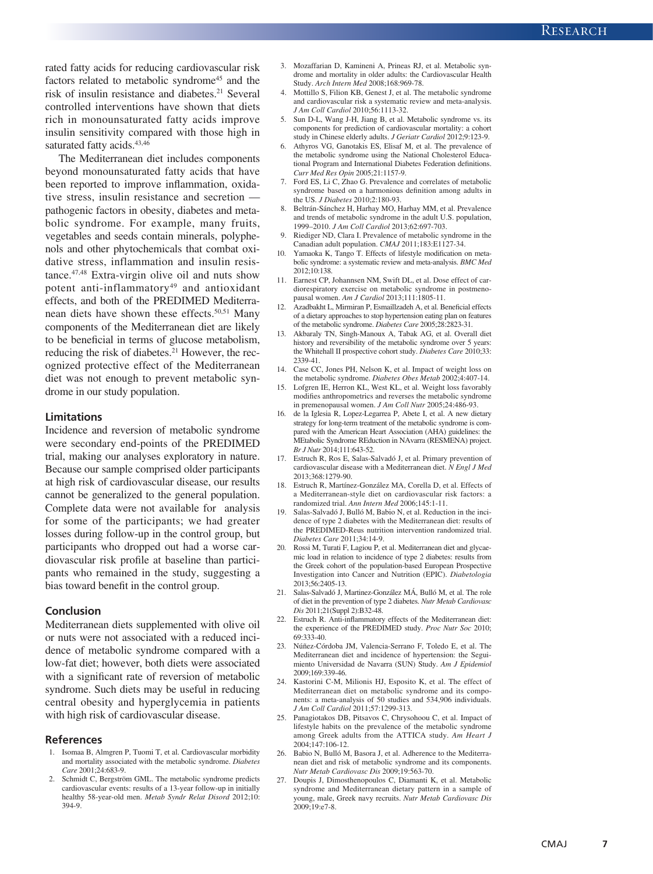rated fatty acids for reducing cardiovascular risk factors related to metabolic syndrome<sup>45</sup> and the risk of insulin resistance and diabetes.<sup>21</sup> Several controlled interventions have shown that diets rich in monounsaturated fatty acids improve insulin sensitivity compared with those high in saturated fatty acids.<sup>43,46</sup>

The Mediterranean diet includes components beyond monounsaturated fatty acids that have been reported to improve inflammation, oxidative stress, insulin resistance and secretion pathogenic factors in obesity, diabetes and metabolic syndrome. For example, many fruits, vegetables and seeds contain minerals, polyphenols and other phytochemicals that combat oxidative stress, inflammation and insulin resistance.47,48 Extra-virgin olive oil and nuts show potent anti-inflammatory $49$  and antioxidant effects, and both of the PREDIMED Mediterranean diets have shown these effects.50,51 Many components of the Mediterranean diet are likely to be beneficial in terms of glucose metabolism, reducing the risk of diabetes.<sup>21</sup> However, the recognized protective effect of the Mediterranean diet was not enough to prevent metabolic syndrome in our study population.

#### **Limitations**

Incidence and reversion of metabolic syndrome were secondary end-points of the PREDIMED trial, making our analyses exploratory in nature. Because our sample comprised older participants at high risk of cardiovascular disease, our results cannot be generalized to the general population. Complete data were not available for analysis for some of the participants; we had greater losses during follow-up in the control group, but participants who dropped out had a worse cardiovascular risk profile at baseline than participants who remained in the study, suggesting a bias toward benefit in the control group.

#### **Conclusion**

Mediterranean diets supplemented with olive oil or nuts were not associated with a reduced incidence of metabolic syndrome compared with a low-fat diet; however, both diets were associated with a significant rate of reversion of metabolic syndrome. Such diets may be useful in reducing central obesity and hyperglycemia in patients with high risk of cardiovascular disease.

#### **References**

- 1. Isomaa B, Almgren P, Tuomi T, et al. Cardiovascular morbidity and mortality associated with the metabolic syndrome. *Diabetes Care* 2001;24:683-9.
- 2. Schmidt C, Bergström GML. The metabolic syndrome predicts cardiovascular events: results of a 13-year follow-up in initially healthy 58-year-old men. *Metab Syndr Relat Disord* 2012;10: 394-9.
- 3. Mozaffarian D, Kamineni A, Prineas RJ, et al. Metabolic syndrome and mortality in older adults: the Cardiovascular Health Study. *Arch Intern Med* 2008;168:969-78.
- 4. Mottillo S, Filion KB, Genest J, et al. The metabolic syndrome and cardiovascular risk a systematic review and meta-analysis. *J Am Coll Cardiol* 2010;56:1113-32.
- 5. Sun D-L, Wang J-H, Jiang B, et al. Metabolic syndrome vs. its components for prediction of cardiovascular mortality: a cohort study in Chinese elderly adults. *J Geriatr Cardiol* 2012;9:123-9.
- 6. Athyros VG, Ganotakis ES, Elisaf M, et al. The prevalence of the metabolic syndrome using the National Cholesterol Educational Program and International Diabetes Federation definitions. *Curr Med Res Opin* 2005;21:1157-9.
- 7. Ford ES, Li C, Zhao G. Prevalence and correlates of metabolic syndrome based on a harmonious definition among adults in the US. *J Diabetes* 2010;2:180-93.
- 8. Beltrán-Sánchez H, Harhay MO, Harhay MM, et al. Prevalence and trends of metabolic syndrome in the adult U.S. population, 1999–2010. *J Am Coll Cardiol* 2013;62:697-703.
- 9. Riediger ND, Clara I. Prevalence of metabolic syndrome in the Canadian adult population. *CMAJ* 2011;183:E1127-34.
- Yamaoka K, Tango T. Effects of lifestyle modification on metabolic syndrome: a systematic review and meta-analysis. *BMC Med* 2012;10:138.
- 11. Earnest CP, Johannsen NM, Swift DL, et al. Dose effect of cardiorespiratory exercise on metabolic syndrome in postmenopausal women. *Am J Cardiol* 2013;111:1805-11.
- 12. Azadbakht L, Mirmiran P, Esmaillzadeh A, et al. Beneficial effects of a dietary approaches to stop hypertension eating plan on features of the metabolic syndrome. *Diabetes Care* 2005;28:2823-31.
- 13. Akbaraly TN, Singh-Manoux A, Tabak AG, et al. Overall diet history and reversibility of the metabolic syndrome over 5 years: the Whitehall II prospective cohort study. *Diabetes Care* 2010;33: 2339-41.
- 14. Case CC, Jones PH, Nelson K, et al. Impact of weight loss on the metabolic syndrome. *Diabetes Obes Metab* 2002;4:407-14.
- 15. Lofgren IE, Herron KL, West KL, et al. Weight loss favorably modifies anthropometrics and reverses the metabolic syndrome in premenopausal women. *J Am Coll Nutr* 2005;24:486-93.
- 16. de la Iglesia R, Lopez-Legarrea P, Abete I, et al. A new dietary strategy for long-term treatment of the metabolic syndrome is compared with the American Heart Association (AHA) guidelines: the MEtabolic Syndrome REduction in NAvarra (RESMENA) project. *Br J Nutr* 2014;111:643-52.
- 17. Estruch R, Ros E, Salas-Salvadó J, et al. Primary prevention of cardiovascular disease with a Mediterranean diet. *N Engl J Med* 2013;368:1279-90.
- 18. Estruch R, Martínez-González MA, Corella D, et al. Effects of a Mediterranean-style diet on cardiovascular risk factors: a randomized trial. *Ann Intern Med* 2006;145:1-11.
- 19. Salas-Salvadó J, Bulló M, Babio N, et al. Reduction in the incidence of type 2 diabetes with the Mediterranean diet: results of the PREDIMED-Reus nutrition intervention randomized trial. *Diabetes Care* 2011;34:14-9.
- 20. Rossi M, Turati F, Lagiou P, et al. Mediterranean diet and glycaemic load in relation to incidence of type 2 diabetes: results from the Greek cohort of the population-based European Prospective Investigation into Cancer and Nutrition (EPIC). *Diabetologia* 2013;56:2405-13.
- 21. Salas-Salvadó J, Martinez-González MÁ, Bulló M, et al. The role of diet in the prevention of type 2 diabetes. *Nutr Metab Cardiovasc Dis* 2011;21(Suppl 2):B32-48.
- 22. Estruch R. Anti-inflammatory effects of the Mediterranean diet: the experience of the PREDIMED study. *Proc Nutr Soc* 2010; 69:333-40.
- 23. Núñez-Córdoba JM, Valencia-Serrano F, Toledo E, et al. The Mediterranean diet and incidence of hypertension: the Seguimiento Universidad de Navarra (SUN) Study. *Am J Epidemiol* 2009;169:339-46.
- 24. Kastorini C-M, Milionis HJ, Esposito K, et al. The effect of Mediterranean diet on metabolic syndrome and its components: a meta-analysis of 50 studies and 534,906 individuals. *J Am Coll Cardiol* 2011;57:1299-313.
- 25. Panagiotakos DB, Pitsavos C, Chrysohoou C, et al. Impact of lifestyle habits on the prevalence of the metabolic syndrome among Greek adults from the ATTICA study. *Am Heart J*  $2004:147:106-12$
- 26. Babio N, Bulló M, Basora J, et al. Adherence to the Mediterranean diet and risk of metabolic syndrome and its components. *Nutr Metab Cardiovasc Dis* 2009;19:563-70.
- 27. Doupis J, Dimosthenopoulos C, Diamanti K, et al. Metabolic syndrome and Mediterranean dietary pattern in a sample of young, male, Greek navy recruits. *Nutr Metab Cardiovasc Dis* 2009;19:e7-8.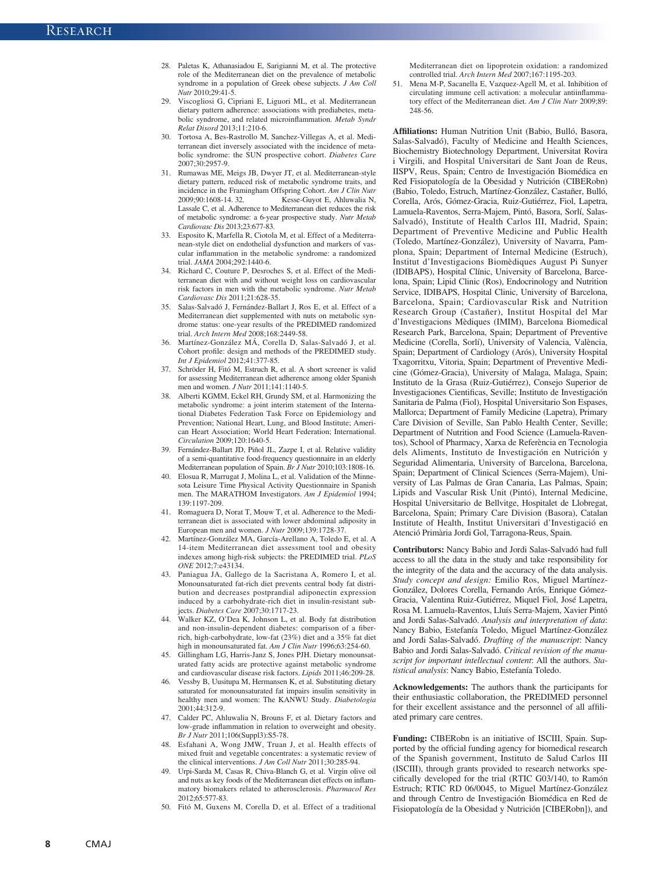- 28. Paletas K, Athanasiadou E, Sarigianni M, et al. The protective role of the Mediterranean diet on the prevalence of metabolic syndrome in a population of Greek obese subjects. *J Am Coll Nutr* 2010;29:41-5.
- 29. Viscogliosi G, Cipriani E, Liguori ML, et al. Mediterranean dietary pattern adherence: associations with prediabetes, metabolic syndrome, and related microinflammation. *Metab Syndr Relat Disord* 2013;11:210-6.
- 30. Tortosa A, Bes-Rastrollo M, Sanchez-Villegas A, et al. Mediterranean diet inversely associated with the incidence of metabolic syndrome: the SUN prospective cohort. *Diabetes Care* 2007;30:2957-9.
- 31. Rumawas ME, Meigs JB, Dwyer JT, et al. Mediterranean-style dietary pattern, reduced risk of metabolic syndrome traits, and incidence in the Framingham Offspring Cohort. *Am J Clin Nutr* 2009;90:1608-14. 32. Kesse-Guyot E, Ahluwalia N, Lassale C, et al. Adherence to Mediterranean diet reduces the risk of metabolic syndrome: a 6-year prospective study. *Nutr Metab Cardiovasc Dis* 2013;23:677-83.
- 33. Esposito K, Marfella R, Ciotola M, et al. Effect of a Mediterranean-style diet on endothelial dysfunction and markers of vascular inflammation in the metabolic syndrome: a randomized trial. *JAMA* 2004;292:1440-6.
- 34. Richard C, Couture P, Desroches S, et al. Effect of the Mediterranean diet with and without weight loss on cardiovascular risk factors in men with the metabolic syndrome. *Nutr Metab Cardiovasc Dis* 2011;21:628-35.
- 35. Salas-Salvadó J, Fernández-Ballart J, Ros E, et al. Effect of a Mediterranean diet supplemented with nuts on metabolic syndrome status: one-year results of the PREDIMED randomized trial. *Arch Intern Med* 2008;168:2449-58.
- 36. Martínez-González MÁ, Corella D, Salas-Salvadó J, et al. Cohort profile: design and methods of the PREDIMED study. *Int J Epidemiol* 2012;41:377-85.
- 37. Schröder H, Fitó M, Estruch R, et al. A short screener is valid for assessing Mediterranean diet adherence among older Spanish men and women. *J Nutr* 2011;141:1140-5.
- 38. Alberti KGMM, Eckel RH, Grundy SM, et al. Harmonizing the metabolic syndrome: a joint interim statement of the International Diabetes Federation Task Force on Epidemiology and Prevention; National Heart, Lung, and Blood Institute; American Heart Association; World Heart Federation; International. *Circulation* 2009;120:1640-5.
- 39. Fernández-Ballart JD, Piñol JL, Zazpe I, et al. Relative validity of a semi-quantitative food-frequency questionnaire in an elderly Mediterranean population of Spain. *Br J Nutr* 2010;103:1808-16.
- 40. Elosua R, Marrugat J, Molina L, et al. Validation of the Minnesota Leisure Time Physical Activity Questionnaire in Spanish men. The MARATHOM Investigators. *Am J Epidemiol* 1994; 139:1197-209.
- 41. Romaguera D, Norat T, Mouw T, et al. Adherence to the Mediterranean diet is associated with lower abdominal adiposity in European men and women. *J Nutr* 2009;139:1728-37.
- 42. Martínez-González MA, García-Arellano A, Toledo E, et al. A 14-item Mediterranean diet assessment tool and obesity indexes among high-risk subjects: the PREDIMED trial. *PLoS ONE* 2012;7:e43134.
- 43. Paniagua JA, Gallego de la Sacristana A, Romero I, et al. Monounsaturated fat-rich diet prevents central body fat distribution and decreases postprandial adiponectin expression induced by a carbohydrate-rich diet in insulin-resistant subjects. *Diabetes Care* 2007;30:1717-23.
- 44. Walker KZ, O'Dea K, Johnson L, et al. Body fat distribution and non-insulin-dependent diabetes: comparison of a fiberrich, high-carbohydrate, low-fat (23%) diet and a 35% fat diet high in monounsaturated fat. *Am J Clin Nutr* 1996;63:254-60.
- 45. Gillingham LG, Harris-Janz S, Jones PJH. Dietary monounsaturated fatty acids are protective against metabolic syndrome and cardiovascular disease risk factors. *Lipids* 2011;46:209-28.
- Vessby B, Uusitupa M, Hermansen K, et al. Substituting dietary saturated for monounsaturated fat impairs insulin sensitivity in healthy men and women: The KANWU Study. *Diabetologia* 2001;44:312-9.
- 47. Calder PC, Ahluwalia N, Brouns F, et al. Dietary factors and low-grade inflammation in relation to overweight and obesity. *Br J Nutr* 2011;106(Suppl3):S5-78.
- 48. Esfahani A, Wong JMW, Truan J, et al. Health effects of mixed fruit and vegetable concentrates: a systematic review of the clinical interventions. *J Am Coll Nutr* 2011;30:285-94.
- 49. Urpi-Sarda M, Casas R, Chiva-Blanch G, et al. Virgin olive oil and nuts as key foods of the Mediterranean diet effects on inflammatory biomakers related to atherosclerosis. *Pharmacol Res* 2012;65:577-83.
- 50. Fitó M, Guxens M, Corella D, et al. Effect of a traditional

Mediterranean diet on lipoprotein oxidation: a randomized controlled trial. *Arch Intern Med* 2007;167:1195-203.

51. Mena M-P, Sacanella E, Vazquez-Agell M, et al. Inhibition of circulating immune cell activation: a molecular antiinflammatory effect of the Mediterranean diet. *Am J Clin Nutr* 2009;89: 248-56.

**Affiliations:** Human Nutrition Unit (Babio, Bulló, Basora, Salas-Salvadó), Faculty of Medicine and Health Sciences, Biochemistry Biotechnology Department, Universitat Rovira i Virgili, and Hospital Universitari de Sant Joan de Reus, IISPV, Reus, Spain; Centro de Investigación Biomédica en Red Fisiopatología de la Obesidad y Nutrición (CIBERobn) (Babio, Toledo, Estruch, Martínez-González, Castañer, Bulló, Corella, Arós, Gómez-Gracia, Ruiz-Gutiérrez, Fiol, Lapetra, Lamuela-Raventos, Serra-Majem, Pintó, Basora, Sorlí, Salas-Salvadó), Institute of Health Carlos III, Madrid, Spain; Department of Preventive Medicine and Public Health (Toledo, Martínez-González), University of Navarra, Pamplona, Spain; Department of Internal Medicine (Estruch), Institut d'Investigacions Biomèdiques August Pi Sunyer (IDIBAPS), Hospital Clínic, University of Barcelona, Barcelona, Spain; Lipid Clinic (Ros), Endocrinology and Nutrition Service, IDIBAPS, Hospital Clinic, University of Barcelona, Barcelona, Spain; Cardiovascular Risk and Nutrition Research Group (Castañer), Institut Hospital del Mar d'Investigacions Mèdiques (IMIM), Barcelona Biomedical Research Park, Barcelona, Spain; Department of Preventive Medicine (Corella, Sorlí), University of Valencia, València, Spain; Department of Cardiology (Arós), University Hospital Txagorritxu, Vitoria, Spain; Department of Preventive Medicine (Gómez-Gracia), University of Malaga, Malaga, Spain; Instituto de la Grasa (Ruiz-Gutiérrez), Consejo Superior de Investigaciones Cientificas, Seville; Instituto de Investigación Sanitaria de Palma (Fiol), Hospital Universitario Son Espases, Mallorca; Department of Family Medicine (Lapetra), Primary Care Division of Seville, San Pablo Health Center, Seville; Department of Nutrition and Food Science (Lamuela-Raventos), School of Pharmacy, Xarxa de Referència en Tecnologia dels Aliments, Instituto de Investigación en Nutrición y Seguridad Alimentaria, University of Barcelona, Barcelona, Spain; Department of Clinical Sciences (Serra-Majem), University of Las Palmas de Gran Canaria, Las Palmas, Spain; Lipids and Vascular Risk Unit (Pintó), Internal Medicine, Hospital Universitario de Bellvitge, Hospitalet de Llobregat, Barcelona, Spain; Primary Care Division (Basora), Catalan Institute of Health, Institut Universitari d'Investigació en Atenció Primària Jordi Gol, Tarragona-Reus, Spain.

**Contributors:** Nancy Babio and Jordi Salas-Salvadó had full access to all the data in the study and take responsibility for the integrity of the data and the accuracy of the data analysis. *Study concept and design:* Emilio Ros, Miguel Martínez-González, Dolores Corella, Fernando Arós, Enrique Gómez-Gracia, Valentina Ruiz-Gutiérrez, Miquel Fiol, José Lapetra, Rosa M. Lamuela-Raventos, Lluís Serra-Majem, Xavier Pintó and Jordi Salas-Salvadó. *Analysis and interpretation of data*: Nancy Babio, Estefanía Toledo, Miguel Martínez-González and Jordi Salas-Salvadó. *Drafting of the manuscript*: Nancy Babio and Jordi Salas-Salvadó. *Critical revision of the manuscript for important intellectual content*: All the authors. *Statistical analysis*: Nancy Babio, Estefanía Toledo.

**Acknowledgements:** The authors thank the participants for their enthusiastic collaboration, the PREDIMED personnel for their excellent assistance and the personnel of all affiliated primary care centres.

**Funding:** CIBERobn is an initiative of ISCIII, Spain. Supported by the official funding agency for biomedical research of the Spanish government, Instituto de Salud Carlos III (ISCIII), through grants provided to research networks specifically developed for the trial (RTIC G03/140, to Ramón Estruch; RTIC RD 06/0045, to Miguel Martínez-González and through Centro de Investigación Biomédica en Red de Fisiopatología de la Obesidad y Nutrición [CIBERobn]), and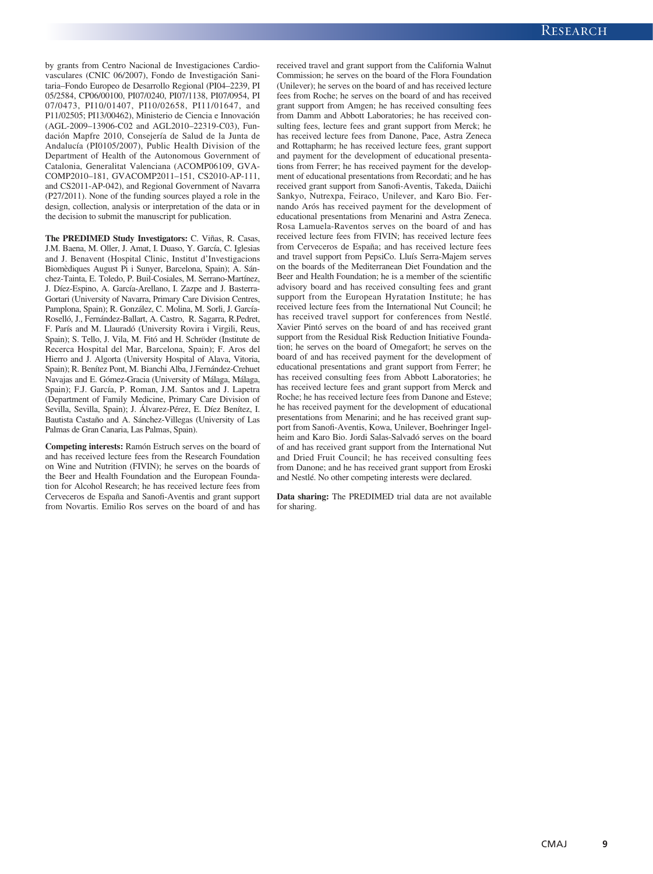by grants from Centro Nacional de Investigaciones Cardiovasculares (CNIC 06/2007), Fondo de Investigación Sanitaria–Fondo Europeo de Desarrollo Regional (PI04–2239, PI 05/2584, CP06/00100, PI07/0240, PI07/1138, PI07/0954, PI 07/0473, PI10/01407, PI10/02658, PI11/01647, and P11/02505; PI13/00462), Ministerio de Ciencia e Innovación (AGL-2009–13906-C02 and AGL2010–22319-C03), Fundación Mapfre 2010, Consejería de Salud de la Junta de Andalucía (PI0105/2007), Public Health Division of the Department of Health of the Autonomous Government of Catalonia, Generalitat Valenciana (ACOMP06109, GVA-COMP2010–181, GVACOMP2011–151, CS2010-AP-111, and CS2011-AP-042), and Regional Government of Navarra (P27/2011). None of the funding sources played a role in the design, collection, analysis or interpretation of the data or in the decision to submit the manuscript for publication.

**The PREDIMED Study Investigators:** C. Viñas, R. Casas, J.M. Baena, M. Oller, J. Amat, I. Duaso, Y. García, C. Iglesias and J. Benavent (Hospital Clinic, Institut d'Investigacions Biomèdiques August Pi i Sunyer, Barcelona, Spain); A. Sánchez-Tainta, E. Toledo, P. Buil-Cosiales, M. Serrano-Martínez, J. Díez-Espino, A. García-Arellano, I. Zazpe and J. Basterra-Gortari (University of Navarra, Primary Care Division Centres, Pamplona, Spain); R. González, C. Molina, M. Sorli, J. García-Roselló, J., Fernández-Ballart, A. Castro, R. Sagarra, R.Pedret, F. París and M. Llauradó (University Rovira i Virgili, Reus, Spain); S. Tello, J. Vila, M. Fitó and H. Schröder (Institute de Recerca Hospital del Mar, Barcelona, Spain); F. Aros del Hierro and J. Algorta (University Hospital of Alava, Vitoria, Spain); R. Benítez Pont, M. Bianchi Alba, J.Fernández-Crehuet Navajas and E. Gómez-Gracia (University of Málaga, Málaga, Spain); F.J. García, P. Roman, J.M. Santos and J. Lapetra (Department of Family Medicine, Primary Care Division of Sevilla, Sevilla, Spain); J. Álvarez-Pérez, E. Díez Benítez, I. Bautista Castaño and A. Sánchez-Villegas (University of Las Palmas de Gran Canaria, Las Palmas, Spain).

**Competing interests:** Ramón Estruch serves on the board of and has received lecture fees from the Research Foundation on Wine and Nutrition (FIVIN); he serves on the boards of the Beer and Health Foundation and the European Foundation for Alcohol Research; he has received lecture fees from Cerveceros de España and Sanofi-Aventis and grant support from Novartis. Emilio Ros serves on the board of and has received travel and grant support from the California Walnut Commission; he serves on the board of the Flora Foundation (Unilever); he serves on the board of and has received lecture fees from Roche; he serves on the board of and has received grant support from Amgen; he has received consulting fees from Damm and Abbott Laboratories; he has received consulting fees, lecture fees and grant support from Merck; he has received lecture fees from Danone, Pace, Astra Zeneca and Rottapharm; he has received lecture fees, grant support and payment for the development of educational presentations from Ferrer; he has received payment for the development of educational presentations from Recordati; and he has received grant support from Sanofi-Aventis, Takeda, Daiichi Sankyo, Nutrexpa, Feiraco, Unilever, and Karo Bio. Fernando Arós has received payment for the development of educational presentations from Menarini and Astra Zeneca. Rosa Lamuela-Raventos serves on the board of and has received lecture fees from FIVIN; has received lecture fees from Cerveceros de España; and has received lecture fees and travel support from PepsiCo. Lluís Serra-Majem serves on the boards of the Mediterranean Diet Foundation and the Beer and Health Foundation; he is a member of the scientific advisory board and has received consulting fees and grant support from the European Hyratation Institute; he has received lecture fees from the International Nut Council; he has received travel support for conferences from Nestlé. Xavier Pintó serves on the board of and has received grant support from the Residual Risk Reduction Initiative Foundation; he serves on the board of Omegafort; he serves on the board of and has received payment for the development of educational presentations and grant support from Ferrer; he has received consulting fees from Abbott Laboratories; he has received lecture fees and grant support from Merck and Roche; he has received lecture fees from Danone and Esteve; he has received payment for the development of educational presentations from Menarini; and he has received grant support from Sanofi-Aventis, Kowa, Unilever, Boehringer Ingelheim and Karo Bio. Jordi Salas-Salvadó serves on the board of and has received grant support from the International Nut and Dried Fruit Council; he has received consulting fees from Danone; and he has received grant support from Eroski and Nestlé. No other competing interests were declared.

**Data sharing:** The PREDIMED trial data are not available for sharing.